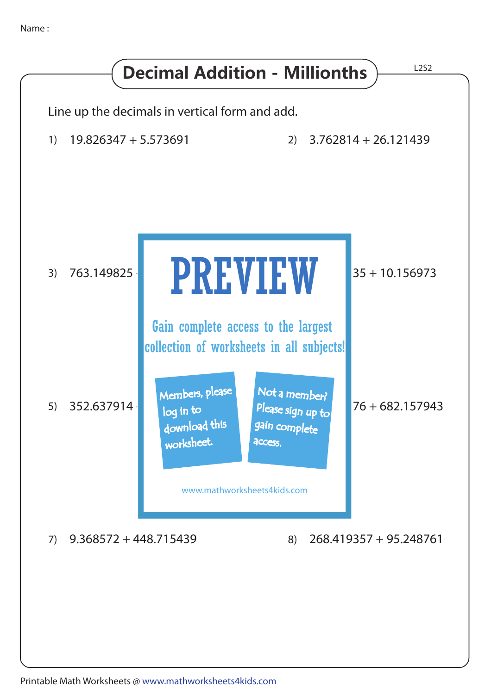